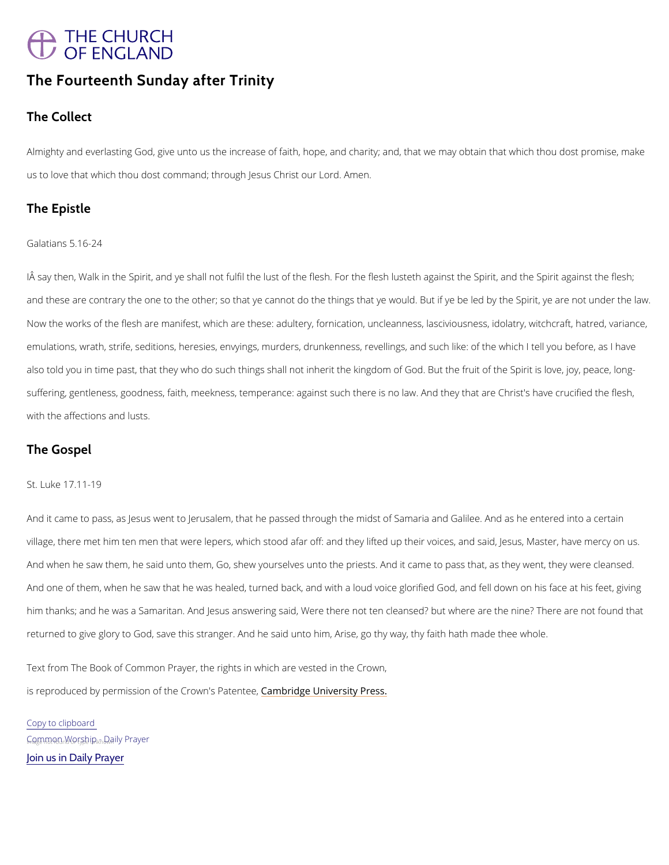# THE CHURCH<br>OF ENGLAND

# The Fourteenth Sunday after Trinity

The Collect

Almighatyd everlasting God, give unto us the increase of faith, hope, and charity; and, that w us to love that which thou dost command; thro**Agnen**lesus Christ our Lord.

The Epistle

Galatians 5.16-24

IAsaythen, Walk in the Spirit, and ye shall not fulfil the lust of the flesh. For the flesh lustetl and these are contrary the one to the other; so that ye cannot do the things that ye would. B Now the works of the flesh are manifest, which are these: adultery, fornication, uncleanness emulations, wrath, strife, seditions, heresies, envyings, murders, drunkenness, revellings, a also told you in time past, that they who do such things shall not inherit the kingdom of God suffering, gentleness, goodness, faith, meekness, temperance: against such there is no law. with the affections and lusts.

The Gospel

#### St. Luke 17.11-19

And it came to pass, as Jesus went to Jerusalem, that he passed through the midst of Samaria village, there met him ten men that were lepers, which stood afar off: and they lifted up thei And when he saw them, he said unto them, Go, shew yourselves unto the priests. And it came And one of them, when he saw that he was healed, turned back, and with a loud voice glorified And Fe him thanks; and he was a Samaritan. And Jesus answering said, Were there not ten cleansed returned to give glory to God, save this stranger. And he said unto him, Arise, go thy way, th

Text from The Book of Common Prayer, the rights in which are vested in the Crown,

is reproduced by permission of the  $C$   $\mathcal{E}$  mobwind geP behavior press.

Copy to clipboard  $G_n$   $Q_n$  map  $n_u$  W  $Q_n$  s  $h$  is  $p_{u}$   $n_{k}$  and  $p_{w}$  and  $v$  P ray er [Join us in Daily Prayer](https://www.churchofengland.org/prayer-and-worship/join-us-in-daily-prayer)